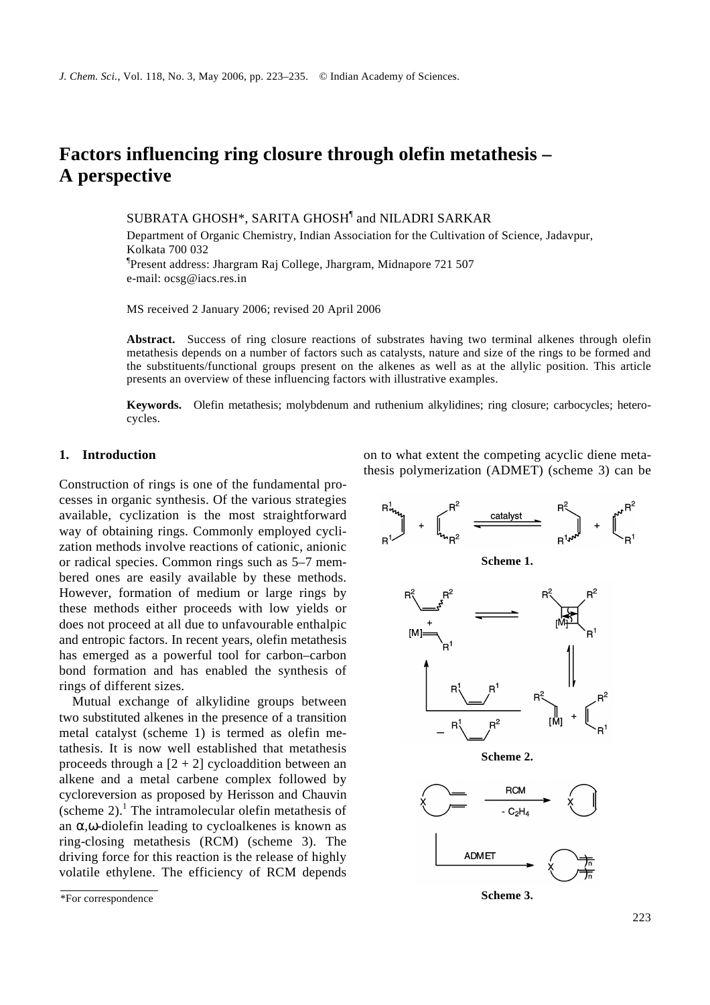# **Factors influencing ring closure through olefin metathesis – A perspective**

SUBRATA GHOSH\*, SARITA GHOSH<sup>¶</sup> and NILADRI SARKAR

Department of Organic Chemistry, Indian Association for the Cultivation of Science, Jadavpur, Kolkata 700 032 ¶ Present address: Jhargram Raj College, Jhargram, Midnapore 721 507 e-mail: ocsg@iacs.res.in

MS received 2 January 2006; revised 20 April 2006

**Abstract.** Success of ring closure reactions of substrates having two terminal alkenes through olefin metathesis depends on a number of factors such as catalysts, nature and size of the rings to be formed and the substituents/functional groups present on the alkenes as well as at the allylic position. This article presents an overview of these influencing factors with illustrative examples.

**Keywords.** Olefin metathesis; molybdenum and ruthenium alkylidines; ring closure; carbocycles; heterocycles.

## **1. Introduction**

Construction of rings is one of the fundamental processes in organic synthesis. Of the various strategies available, cyclization is the most straightforward way of obtaining rings. Commonly employed cyclization methods involve reactions of cationic, anionic or radical species. Common rings such as 5–7 membered ones are easily available by these methods. However, formation of medium or large rings by these methods either proceeds with low yields or does not proceed at all due to unfavourable enthalpic and entropic factors. In recent years, olefin metathesis has emerged as a powerful tool for carbon–carbon bond formation and has enabled the synthesis of rings of different sizes.

Mutual exchange of alkylidine groups between two substituted alkenes in the presence of a transition metal catalyst (scheme 1) is termed as olefin metathesis. It is now well established that metathesis proceeds through a  $[2 + 2]$  cycloaddition between an alkene and a metal carbene complex followed by cycloreversion as proposed by Herisson and Chauvin (scheme 2).<sup>1</sup> The intramolecular olefin metathesis of an *a*,*w*-diolefin leading to cycloalkenes is known as ring-closing metathesis (RCM) (scheme 3). The driving force for this reaction is the release of highly volatile ethylene. The efficiency of RCM depends

on to what extent the competing acyclic diene metathesis polymerization (ADMET) (scheme 3) can be



<sup>\*</sup>For correspondence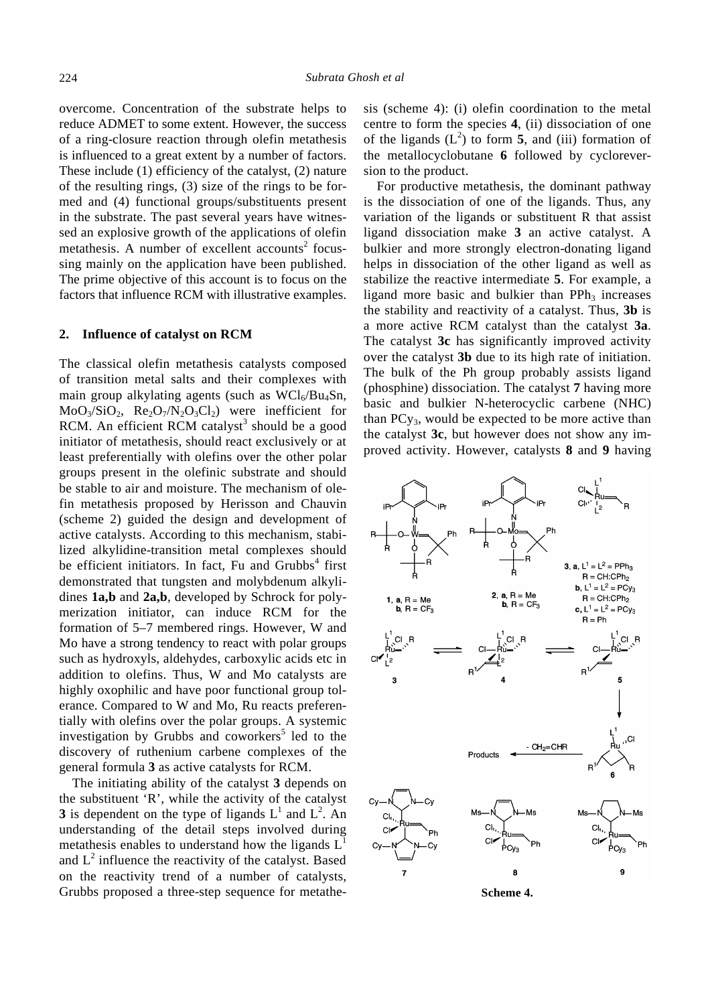overcome. Concentration of the substrate helps to reduce ADMET to some extent. However, the success of a ring-closure reaction through olefin metathesis is influenced to a great extent by a number of factors. These include (1) efficiency of the catalyst, (2) nature of the resulting rings, (3) size of the rings to be formed and (4) functional groups/substituents present in the substrate. The past several years have witnessed an explosive growth of the applications of olefin metathesis. A number of excellent accounts<sup>2</sup> focussing mainly on the application have been published. The prime objective of this account is to focus on the factors that influence RCM with illustrative examples.

### **2. Influence of catalyst on RCM**

The classical olefin metathesis catalysts composed of transition metal salts and their complexes with main group alkylating agents (such as  $WCl<sub>6</sub>/Bu<sub>4</sub>Sn$ ,  $MoO<sub>3</sub>/SiO<sub>2</sub>$ ,  $Re<sub>2</sub>O<sub>7</sub>/N<sub>2</sub>O<sub>3</sub>Cl<sub>2</sub>$ ) were inefficient for RCM. An efficient RCM catalyst<sup>3</sup> should be a good initiator of metathesis, should react exclusively or at least preferentially with olefins over the other polar groups present in the olefinic substrate and should be stable to air and moisture. The mechanism of olefin metathesis proposed by Herisson and Chauvin (scheme 2) guided the design and development of active catalysts. According to this mechanism, stabilized alkylidine-transition metal complexes should be efficient initiators. In fact, Fu and Grubbs<sup>4</sup> first demonstrated that tungsten and molybdenum alkylidines **1a,b** and **2a,b**, developed by Schrock for polymerization initiator, can induce RCM for the formation of 5–7 membered rings. However, W and Mo have a strong tendency to react with polar groups such as hydroxyls, aldehydes, carboxylic acids etc in addition to olefins. Thus, W and Mo catalysts are highly oxophilic and have poor functional group tolerance. Compared to W and Mo, Ru reacts preferentially with olefins over the polar groups. A systemic investigation by Grubbs and coworkers<sup>5</sup> led to the discovery of ruthenium carbene complexes of the general formula **3** as active catalysts for RCM.

The initiating ability of the catalyst **3** depends on the substituent 'R', while the activity of the catalyst **3** is dependent on the type of ligands  $L^1$  and  $L^2$ . An understanding of the detail steps involved during metathesis enables to understand how the ligands  $L<sup>1</sup>$ and  $L^2$  influence the reactivity of the catalyst. Based on the reactivity trend of a number of catalysts, Grubbs proposed a three-step sequence for metathesis (scheme 4): (i) olefin coordination to the metal centre to form the species **4**, (ii) dissociation of one of the ligands  $(L^2)$  to form **5**, and (iii) formation of the metallocyclobutane **6** followed by cycloreversion to the product.

For productive metathesis, the dominant pathway is the dissociation of one of the ligands. Thus, any variation of the ligands or substituent R that assist ligand dissociation make **3** an active catalyst. A bulkier and more strongly electron-donating ligand helps in dissociation of the other ligand as well as stabilize the reactive intermediate **5**. For example, a ligand more basic and bulkier than  $PPh<sub>3</sub>$  increases the stability and reactivity of a catalyst. Thus, **3b** is a more active RCM catalyst than the catalyst **3a**. The catalyst **3c** has significantly improved activity over the catalyst **3b** due to its high rate of initiation. The bulk of the Ph group probably assists ligand (phosphine) dissociation. The catalyst **7** having more basic and bulkier N-heterocyclic carbene (NHC) than  $PCy_3$ , would be expected to be more active than the catalyst **3c**, but however does not show any improved activity. However, catalysts **8** and **9** having



**Scheme 4.**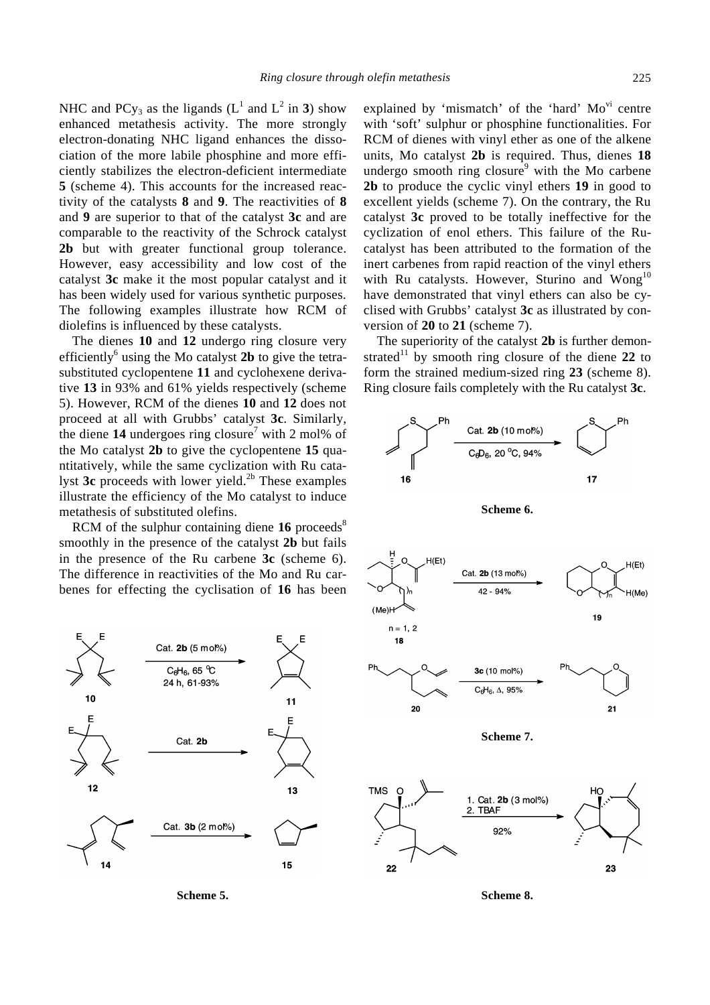NHC and PCy<sub>3</sub> as the ligands  $(L^1 \text{ and } L^2 \text{ in } 3)$  show enhanced metathesis activity. The more strongly electron-donating NHC ligand enhances the dissociation of the more labile phosphine and more efficiently stabilizes the electron-deficient intermediate **5** (scheme 4). This accounts for the increased reactivity of the catalysts **8** and **9**. The reactivities of **8** and **9** are superior to that of the catalyst **3c** and are comparable to the reactivity of the Schrock catalyst **2b** but with greater functional group tolerance. However, easy accessibility and low cost of the catalyst **3c** make it the most popular catalyst and it has been widely used for various synthetic purposes. The following examples illustrate how RCM of diolefins is influenced by these catalysts.

The dienes **10** and **12** undergo ring closure very efficiently<sup>6</sup> using the Mo catalyst 2b to give the tetrasubstituted cyclopentene **11** and cyclohexene derivative **13** in 93% and 61% yields respectively (scheme 5). However, RCM of the dienes **10** and **12** does not proceed at all with Grubbs' catalyst **3c**. Similarly, the diene  $14$  undergoes ring closure<sup>7</sup> with 2 mol% of the Mo catalyst **2b** to give the cyclopentene **15** quantitatively, while the same cyclization with Ru catalyst 3c proceeds with lower yield.<sup>2b</sup> These examples illustrate the efficiency of the Mo catalyst to induce metathesis of substituted olefins.

RCM of the sulphur containing diene  $16$  proceeds<sup>8</sup> smoothly in the presence of the catalyst **2b** but fails in the presence of the Ru carbene **3c** (scheme 6). The difference in reactivities of the Mo and Ru carbenes for effecting the cyclisation of **16** has been



**Scheme 5.**

explained by 'mismatch' of the 'hard'  $Mo<sup>vi</sup>$  centre with 'soft' sulphur or phosphine functionalities. For RCM of dienes with vinyl ether as one of the alkene units, Mo catalyst **2b** is required. Thus, dienes **18** undergo smooth ring closure<sup>9</sup> with the Mo carbene **2b** to produce the cyclic vinyl ethers **19** in good to excellent yields (scheme 7). On the contrary, the Ru catalyst **3c** proved to be totally ineffective for the cyclization of enol ethers. This failure of the Rucatalyst has been attributed to the formation of the inert carbenes from rapid reaction of the vinyl ethers with Ru catalysts. However, Sturino and Wong<sup>10</sup> have demonstrated that vinyl ethers can also be cyclised with Grubbs' catalyst **3c** as illustrated by conversion of **20** to **21** (scheme 7).

The superiority of the catalyst **2b** is further demonstrated<sup>11</sup> by smooth ring closure of the diene 22 to form the strained medium-sized ring **23** (scheme 8). Ring closure fails completely with the Ru catalyst **3c**.





**Scheme 8.**

23

 $22$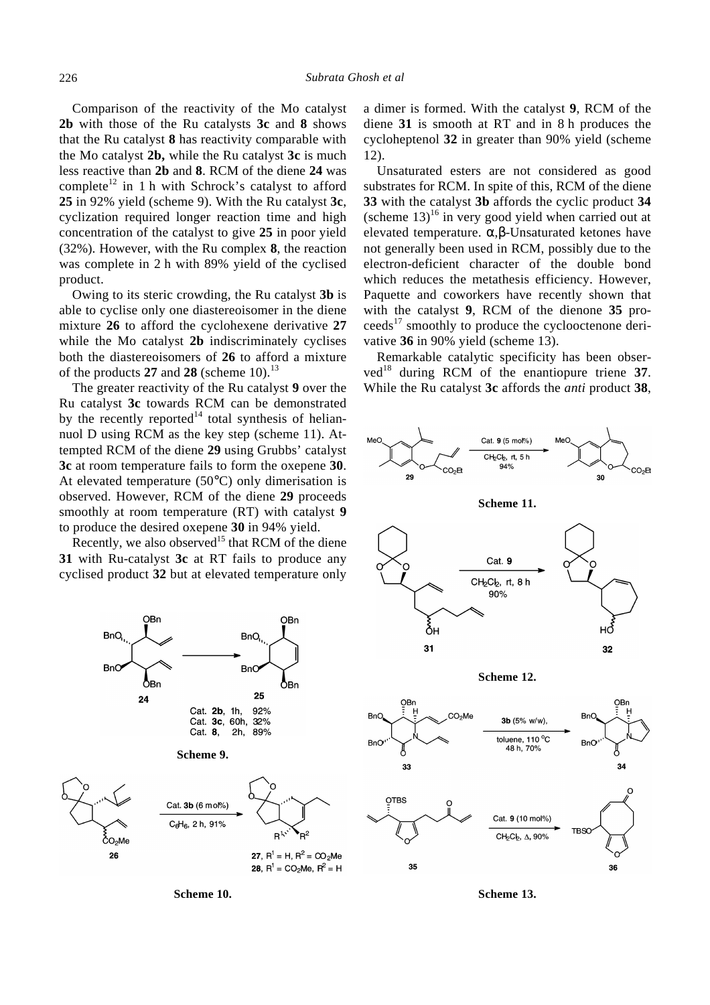Comparison of the reactivity of the Mo catalyst **2b** with those of the Ru catalysts **3c** and **8** shows that the Ru catalyst **8** has reactivity comparable with the Mo catalyst **2b,** while the Ru catalyst **3c** is much less reactive than **2b** and **8**. RCM of the diene **24** was complete<sup>12</sup> in 1 h with Schrock's catalyst to afford **25** in 92% yield (scheme 9). With the Ru catalyst **3c**, cyclization required longer reaction time and high concentration of the catalyst to give **25** in poor yield (32%). However, with the Ru complex **8**, the reaction was complete in 2 h with 89% yield of the cyclised product.

Owing to its steric crowding, the Ru catalyst **3b** is able to cyclise only one diastereoisomer in the diene mixture **26** to afford the cyclohexene derivative **27** while the Mo catalyst **2b** indiscriminately cyclises both the diastereoisomers of **26** to afford a mixture of the products  $27$  and  $28$  (scheme 10).<sup>13</sup>

The greater reactivity of the Ru catalyst **9** over the Ru catalyst **3c** towards RCM can be demonstrated by the recently reported<sup>14</sup> total synthesis of heliannuol D using RCM as the key step (scheme 11). Attempted RCM of the diene **29** using Grubbs' catalyst **3c** at room temperature fails to form the oxepene **30**. At elevated temperature  $(50^{\circ}C)$  only dimerisation is observed. However, RCM of the diene **29** proceeds smoothly at room temperature (RT) with catalyst **9** to produce the desired oxepene **30** in 94% yield.

Recently, we also observed<sup>15</sup> that RCM of the diene **31** with Ru-catalyst **3c** at RT fails to produce any cyclised product **32** but at elevated temperature only

OBn **OBn BnO** BnO. **BnO BnO** ŌВn ÔBn 25  $24$ Cat. 2b, 1h, 92% Cat. 3c, 60h, 32% Cat. 8. 2h, 89% **Scheme 9.** Cat. 3b (6 m ol%) C<sub>6</sub>H<sub>6</sub>, 2 h, 91% R<sup>i√`</sup>  $R^2$  $\rm \delta_{O_2Me}$ 27,  $R^1 = H$ ,  $R^2 = CO_2Me$ 26 **28**,  $R^1$  = CO<sub>2</sub>Me,  $R^2$  = H

**Scheme 10.**

a dimer is formed. With the catalyst **9**, RCM of the diene **31** is smooth at RT and in 8 h produces the cycloheptenol **32** in greater than 90% yield (scheme 12).

Unsaturated esters are not considered as good substrates for RCM. In spite of this, RCM of the diene **33** with the catalyst **3b** affords the cyclic product **34**  (scheme  $13$ )<sup>16</sup> in very good yield when carried out at elevated temperature. *a*,*b*-Unsaturated ketones have not generally been used in RCM, possibly due to the electron-deficient character of the double bond which reduces the metathesis efficiency. However, Paquette and coworkers have recently shown that with the catalyst **9**, RCM of the dienone **35** pro- $\text{ceeds}^{17}$  smoothly to produce the cyclooctenone derivative **36** in 90% yield (scheme 13).

Remarkable catalytic specificity has been obser $v \cdot ed^{18}$  during RCM of the enantiopure triene 37. While the Ru catalyst **3c** affords the *anti* product **38**,





**Scheme 12.**



**Scheme 13.**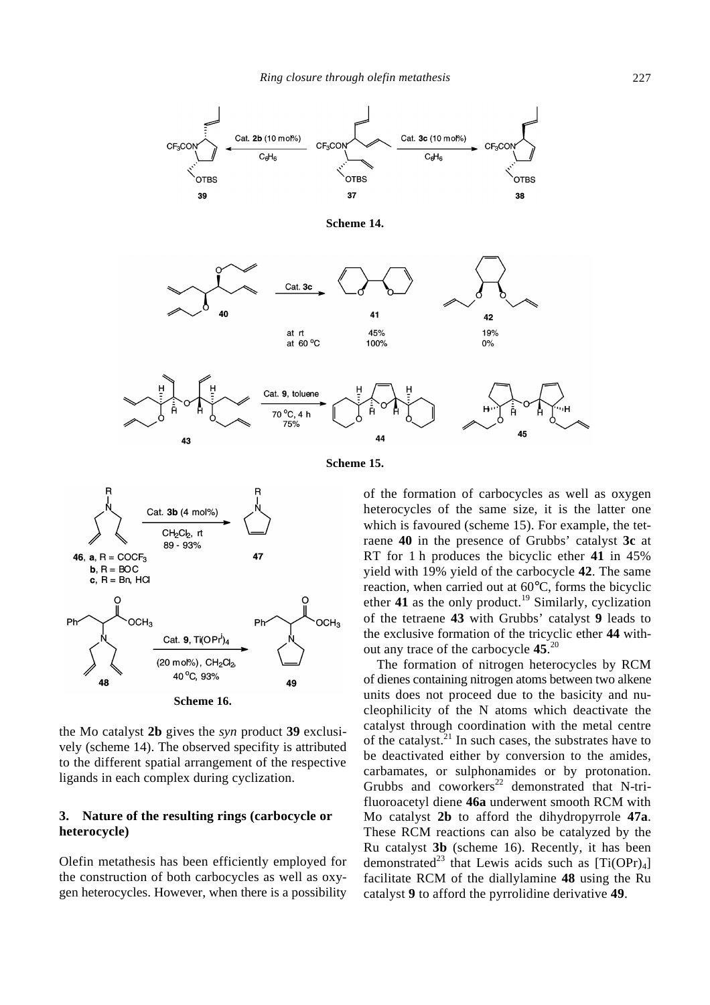

**Scheme 15.**



the Mo catalyst **2b** gives the *syn* product **39** exclusively (scheme 14). The observed specifity is attributed to the different spatial arrangement of the respective ligands in each complex during cyclization.

# **3. Nature of the resulting rings (carbocycle or heterocycle)**

Olefin metathesis has been efficiently employed for the construction of both carbocycles as well as oxygen heterocycles. However, when there is a possibility

of the formation of carbocycles as well as oxygen heterocycles of the same size, it is the latter one which is favoured (scheme 15). For example, the tetraene **40** in the presence of Grubbs' catalyst **3c** at RT for 1 h produces the bicyclic ether **41** in 45% yield with 19% yield of the carbocycle **42**. The same reaction, when carried out at 60°C, forms the bicyclic ether **41** as the only product.<sup>19</sup> Similarly, cyclization of the tetraene **43** with Grubbs' catalyst **9** leads to the exclusive formation of the tricyclic ether **44** without any trace of the carbocycle **45**. 20

The formation of nitrogen heterocycles by RCM of dienes containing nitrogen atoms between two alkene units does not proceed due to the basicity and nucleophilicity of the N atoms which deactivate the catalyst through coordination with the metal centre of the catalyst. $^{21}$  In such cases, the substrates have to be deactivated either by conversion to the amides, carbamates, or sulphonamides or by protonation. Grubbs and coworkers<sup>22</sup> demonstrated that N-trifluoroacetyl diene **46a** underwent smooth RCM with Mo catalyst **2b** to afford the dihydropyrrole **47a**. These RCM reactions can also be catalyzed by the Ru catalyst **3b** (scheme 16). Recently, it has been demonstrated<sup>23</sup> that Lewis acids such as  $[Ti(OPr)_4]$ facilitate RCM of the diallylamine **48** using the Ru catalyst **9** to afford the pyrrolidine derivative **49**.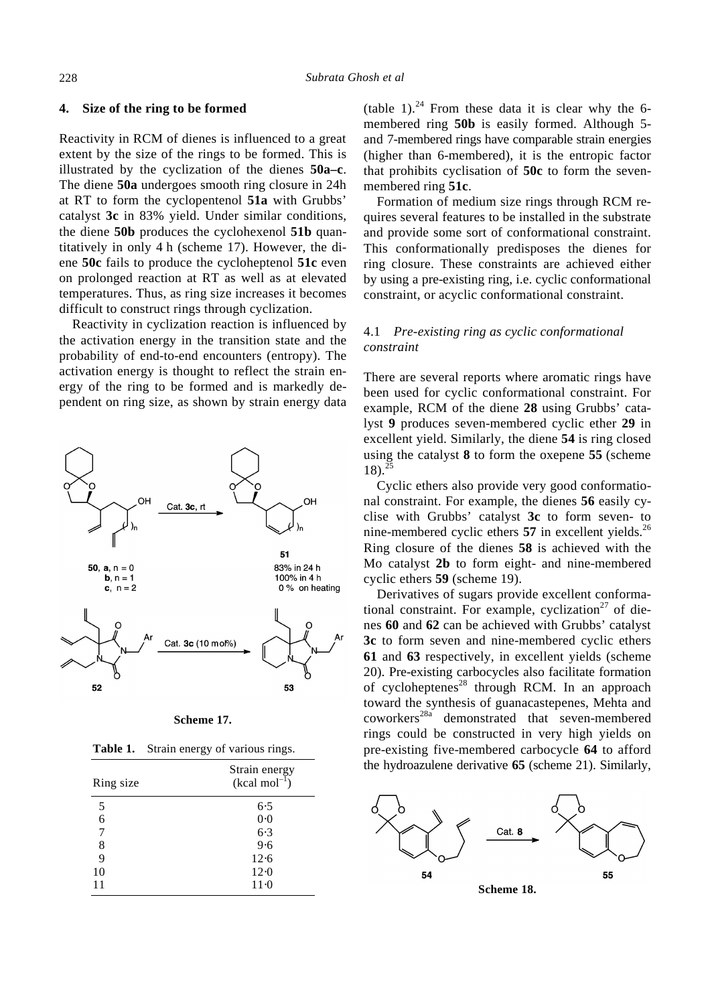#### **4. Size of the ring to be formed**

Reactivity in RCM of dienes is influenced to a great extent by the size of the rings to be formed. This is illustrated by the cyclization of the dienes **50a–c**. The diene **50a** undergoes smooth ring closure in 24h at RT to form the cyclopentenol **51a** with Grubbs' catalyst **3c** in 83% yield. Under similar conditions, the diene **50b** produces the cyclohexenol **51b** quantitatively in only 4 h (scheme 17). However, the diene **50c** fails to produce the cycloheptenol **51c** even on prolonged reaction at RT as well as at elevated temperatures. Thus, as ring size increases it becomes difficult to construct rings through cyclization.

Reactivity in cyclization reaction is influenced by the activation energy in the transition state and the probability of end-to-end encounters (entropy). The activation energy is thought to reflect the strain energy of the ring to be formed and is markedly dependent on ring size, as shown by strain energy data



| Scheme 17. |  |
|------------|--|
|------------|--|

Table 1. Strain energy of various rings.

| Ring size | Strain energy<br>$(kcal mol-1)$ |
|-----------|---------------------------------|
| 5         | 6.5                             |
| 6         | 0.0                             |
| 7         | $6-3$                           |
| 8         | 9.6                             |
| 9         | 12.6                            |
| 10        | 12.0                            |
| 11        | $11-0$                          |

(table 1).<sup>24</sup> From these data it is clear why the 6membered ring **50b** is easily formed. Although 5 and 7-membered rings have comparable strain energies (higher than 6-membered), it is the entropic factor that prohibits cyclisation of **50c** to form the sevenmembered ring **51c**.

Formation of medium size rings through RCM requires several features to be installed in the substrate and provide some sort of conformational constraint. This conformationally predisposes the dienes for ring closure. These constraints are achieved either by using a pre-existing ring, i.e. cyclic conformational constraint, or acyclic conformational constraint.

# 4.1 *Pre-existing ring as cyclic conformational constraint*

There are several reports where aromatic rings have been used for cyclic conformational constraint. For example, RCM of the diene **28** using Grubbs' catalyst **9** produces seven-membered cyclic ether **29** in excellent yield. Similarly, the diene **54** is ring closed using the catalyst **8** to form the oxepene **55** (scheme  $18$ .  $25$ 

Cyclic ethers also provide very good conformational constraint. For example, the dienes **56** easily cyclise with Grubbs' catalyst **3c** to form seven- to nine-membered cyclic ethers  $57$  in excellent yields.<sup>26</sup> Ring closure of the dienes **58** is achieved with the Mo catalyst **2b** to form eight- and nine-membered cyclic ethers **59** (scheme 19).

Derivatives of sugars provide excellent conformational constraint. For example, cyclization<sup>27</sup> of dienes **60** and **62** can be achieved with Grubbs' catalyst **3c** to form seven and nine-membered cyclic ethers **61** and **63** respectively, in excellent yields (scheme 20). Pre-existing carbocycles also facilitate formation of cycloheptenes<sup>28</sup> through RCM. In an approach toward the synthesis of guanacastepenes, Mehta and coworkers<sup>28a</sup> demonstrated that seven-membered rings could be constructed in very high yields on pre-existing five-membered carbocycle **64** to afford the hydroazulene derivative **65** (scheme 21). Similarly,

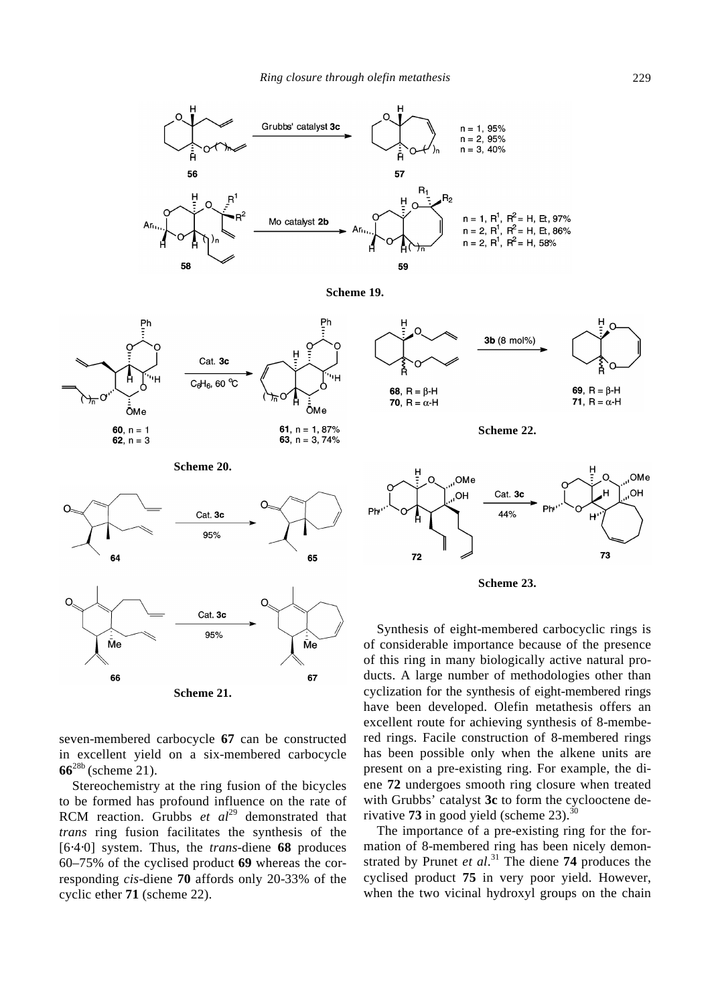









**Scheme 22.**





Synthesis of eight-membered carbocyclic rings is of considerable importance because of the presence of this ring in many biologically active natural products. A large number of methodologies other than cyclization for the synthesis of eight-membered rings have been developed. Olefin metathesis offers an excellent route for achieving synthesis of 8-membered rings. Facile construction of 8-membered rings has been possible only when the alkene units are present on a pre-existing ring. For example, the diene **72** undergoes smooth ring closure when treated with Grubbs' catalyst **3c** to form the cyclooctene derivative **73** in good yield (scheme  $23$ ).

The importance of a pre-existing ring for the formation of 8-membered ring has been nicely demonstrated by Prunet *et al*. <sup>31</sup> The diene **74** produces the cyclised product **75** in very poor yield. However, when the two vicinal hydroxyl groups on the chain





**Scheme 21.**

seven-membered carbocycle **67** can be constructed in excellent yield on a six-membered carbocycle **66**28b (scheme 21).

Stereochemistry at the ring fusion of the bicycles to be formed has profound influence on the rate of RCM reaction. Grubbs *et al*<sup>29</sup> demonstrated that *trans* ring fusion facilitates the synthesis of the [6⋅4⋅0] system. Thus, the *trans*-diene **68** produces 60–75% of the cyclised product **69** whereas the corresponding *cis*-diene **70** affords only 20-33% of the cyclic ether **71** (scheme 22).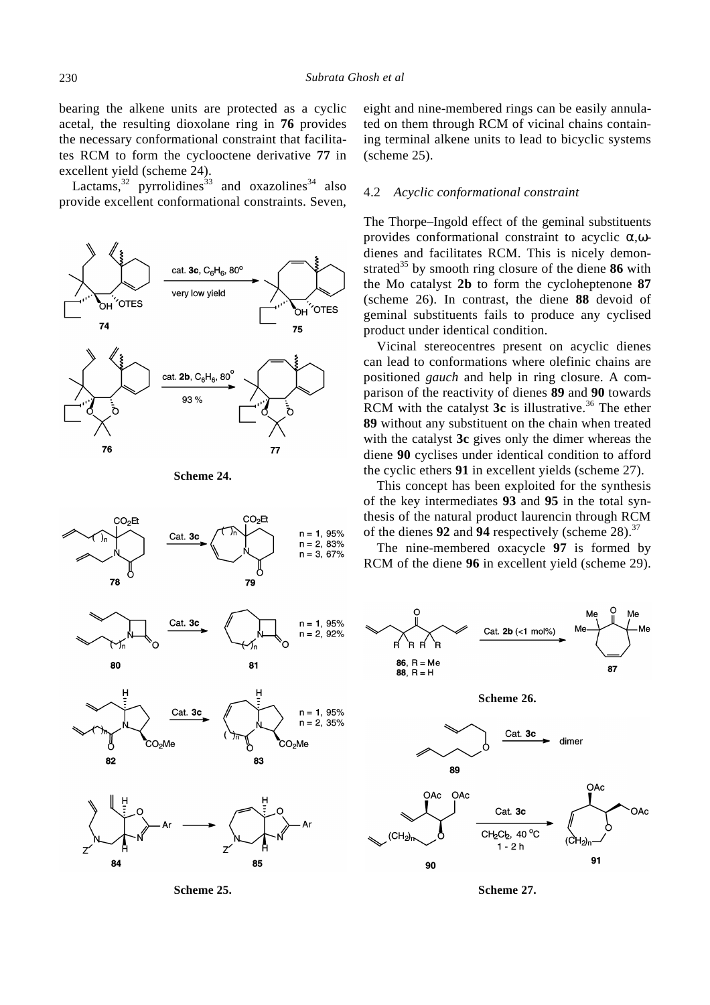bearing the alkene units are protected as a cyclic acetal, the resulting dioxolane ring in **76** provides the necessary conformational constraint that facilitates RCM to form the cyclooctene derivative **77** in excellent yield (scheme 24).

Lactams,  $32$  pyrrolidines  $33$  and oxazolines  $34$  also provide excellent conformational constraints. Seven,









**Scheme 25.**

eight and nine-membered rings can be easily annulated on them through RCM of vicinal chains containing terminal alkene units to lead to bicyclic systems (scheme 25).

#### 4.2 *Acyclic conformational constraint*

The Thorpe–Ingold effect of the geminal substituents provides conformational constraint to acyclic *a*,*w*dienes and facilitates RCM. This is nicely demonstrated<sup>35</sup> by smooth ring closure of the diene  $86$  with the Mo catalyst **2b** to form the cycloheptenone **87** (scheme 26). In contrast, the diene **88** devoid of geminal substituents fails to produce any cyclised product under identical condition.

Vicinal stereocentres present on acyclic dienes can lead to conformations where olefinic chains are positioned *gauch* and help in ring closure. A comparison of the reactivity of dienes **89** and **90** towards RCM with the catalyst 3c is illustrative.<sup>36</sup> The ether **89** without any substituent on the chain when treated with the catalyst **3c** gives only the dimer whereas the diene **90** cyclises under identical condition to afford the cyclic ethers **91** in excellent yields (scheme 27).

This concept has been exploited for the synthesis of the key intermediates **93** and **95** in the total synthesis of the natural product laurencin through RCM of the dienes **92** and **94** respectively (scheme 28).<sup>37</sup>

The nine-membered oxacycle **97** is formed by RCM of the diene **96** in excellent yield (scheme 29).



**Scheme 26.**





**Scheme 27.**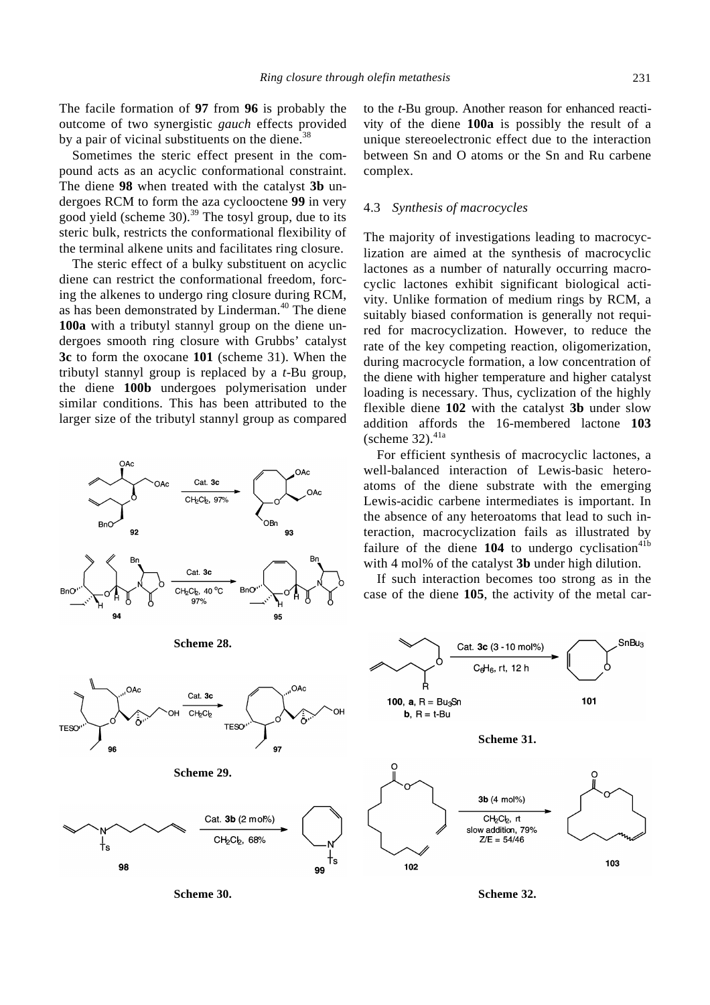The facile formation of **97** from **96** is probably the outcome of two synergistic *gauch* effects provided by a pair of vicinal substituents on the diene. $38$ 

Sometimes the steric effect present in the compound acts as an acyclic conformational constraint. The diene **98** when treated with the catalyst **3b** undergoes RCM to form the aza cyclooctene **99** in very good yield (scheme 30).<sup>39</sup> The tosyl group, due to its steric bulk, restricts the conformational flexibility of the terminal alkene units and facilitates ring closure.

The steric effect of a bulky substituent on acyclic diene can restrict the conformational freedom, forcing the alkenes to undergo ring closure during RCM, as has been demonstrated by Linderman.<sup>40</sup> The diene **100a** with a tributyl stannyl group on the diene undergoes smooth ring closure with Grubbs' catalyst **3c** to form the oxocane **101** (scheme 31). When the tributyl stannyl group is replaced by a *t*-Bu group, the diene **100b** undergoes polymerisation under similar conditions. This has been attributed to the larger size of the tributyl stannyl group as compared



to the *t*-Bu group. Another reason for enhanced reactivity of the diene **100a** is possibly the result of a unique stereoelectronic effect due to the interaction between Sn and O atoms or the Sn and Ru carbene complex.

#### 4.3 *Synthesis of macrocycles*

The majority of investigations leading to macrocyclization are aimed at the synthesis of macrocyclic lactones as a number of naturally occurring macrocyclic lactones exhibit significant biological activity. Unlike formation of medium rings by RCM, a suitably biased conformation is generally not required for macrocyclization. However, to reduce the rate of the key competing reaction, oligomerization, during macrocycle formation, a low concentration of the diene with higher temperature and higher catalyst loading is necessary. Thus, cyclization of the highly flexible diene **102** with the catalyst **3b** under slow addition affords the 16-membered lactone **103**  (scheme  $32$ ).<sup>41a</sup>

For efficient synthesis of macrocyclic lactones, a well-balanced interaction of Lewis-basic heteroatoms of the diene substrate with the emerging Lewis-acidic carbene intermediates is important. In the absence of any heteroatoms that lead to such interaction, macrocyclization fails as illustrated by failure of the diene  $104$  to undergo cyclisation<sup>41b</sup> with 4 mol% of the catalyst **3b** under high dilution.

If such interaction becomes too strong as in the case of the diene **105**, the activity of the metal car-



**Scheme 30.**

99

**Scheme 32.**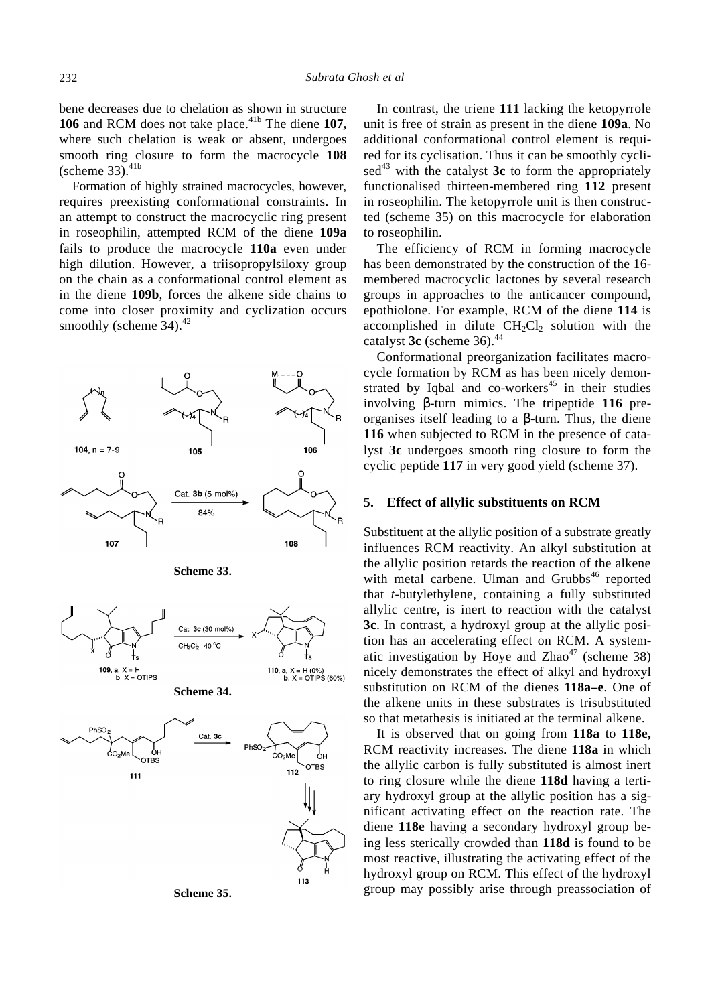bene decreases due to chelation as shown in structure **106** and RCM does not take place.<sup>41b</sup> The diene **107**, where such chelation is weak or absent, undergoes smooth ring closure to form the macrocycle **108**   $(scheme 33).<sup>41b</sup>$ 

Formation of highly strained macrocycles, however, requires preexisting conformational constraints. In an attempt to construct the macrocyclic ring present in roseophilin, attempted RCM of the diene **109a** fails to produce the macrocycle **110a** even under high dilution. However, a triisopropylsiloxy group on the chain as a conformational control element as in the diene **109b**, forces the alkene side chains to come into closer proximity and cyclization occurs smoothly (scheme  $34$ ).<sup>42</sup>





In contrast, the triene **111** lacking the ketopyrrole unit is free of strain as present in the diene **109a**. No additional conformational control element is required for its cyclisation. Thus it can be smoothly cycli- $\text{sed}^{43}$  with the catalyst  $3c$  to form the appropriately functionalised thirteen-membered ring **112** present in roseophilin. The ketopyrrole unit is then constructed (scheme 35) on this macrocycle for elaboration to roseophilin.

The efficiency of RCM in forming macrocycle has been demonstrated by the construction of the 16 membered macrocyclic lactones by several research groups in approaches to the anticancer compound, epothiolone. For example, RCM of the diene **114** is accomplished in dilute  $CH<sub>2</sub>Cl<sub>2</sub>$  solution with the catalyst 3c (scheme 36).<sup>44</sup>

Conformational preorganization facilitates macrocycle formation by RCM as has been nicely demonstrated by Iqbal and co-workers $45$  in their studies involving *b*-turn mimics. The tripeptide **116** preorganises itself leading to a *b*-turn. Thus, the diene **116** when subjected to RCM in the presence of catalyst **3c** undergoes smooth ring closure to form the cyclic peptide **117** in very good yield (scheme 37).

#### **5. Effect of allylic substituents on RCM**

Substituent at the allylic position of a substrate greatly influences RCM reactivity. An alkyl substitution at the allylic position retards the reaction of the alkene with metal carbene. Ulman and Grubbs<sup>46</sup> reported that *t*-butylethylene, containing a fully substituted allylic centre, is inert to reaction with the catalyst **3c**. In contrast, a hydroxyl group at the allylic position has an accelerating effect on RCM. A systematic investigation by Hoye and  $Zhao<sup>47</sup>$  (scheme 38) nicely demonstrates the effect of alkyl and hydroxyl substitution on RCM of the dienes **118a–e**. One of the alkene units in these substrates is trisubstituted so that metathesis is initiated at the terminal alkene.

It is observed that on going from **118a** to **118e,** RCM reactivity increases. The diene **118a** in which the allylic carbon is fully substituted is almost inert to ring closure while the diene **118d** having a tertiary hydroxyl group at the allylic position has a significant activating effect on the reaction rate. The diene **118e** having a secondary hydroxyl group being less sterically crowded than **118d** is found to be most reactive, illustrating the activating effect of the hydroxyl group on RCM. This effect of the hydroxyl group may possibly arise through preassociation of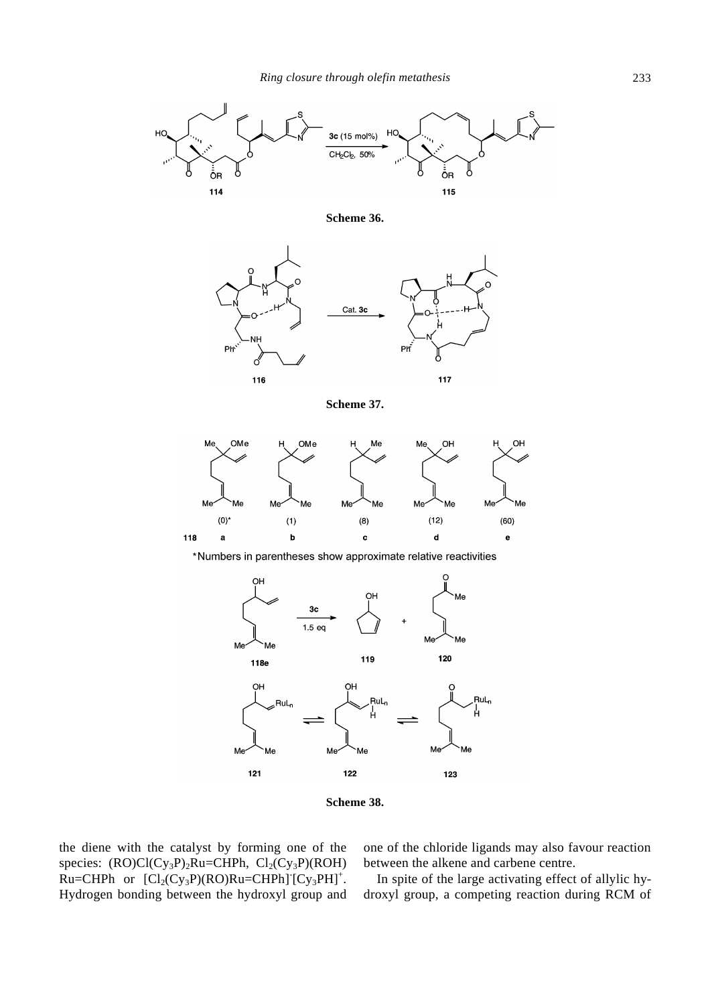

**Scheme 36.**



**Scheme 37.**



\*Numbers in parentheses show approximate relative reactivities



**Scheme 38.**

the diene with the catalyst by forming one of the species:  $(RO)Cl(Cy_3P)_2Ru=CHPh$ ,  $Cl_2(Cy_3P)(ROH)$  $Ru=CHPh$  or  $[Cl_2(Cy_3P)(RO)Ru=CHPh][Cy_3PH]^+.$ Hydrogen bonding between the hydroxyl group and

one of the chloride ligands may also favour reaction between the alkene and carbene centre.

In spite of the large activating effect of allylic hydroxyl group, a competing reaction during RCM of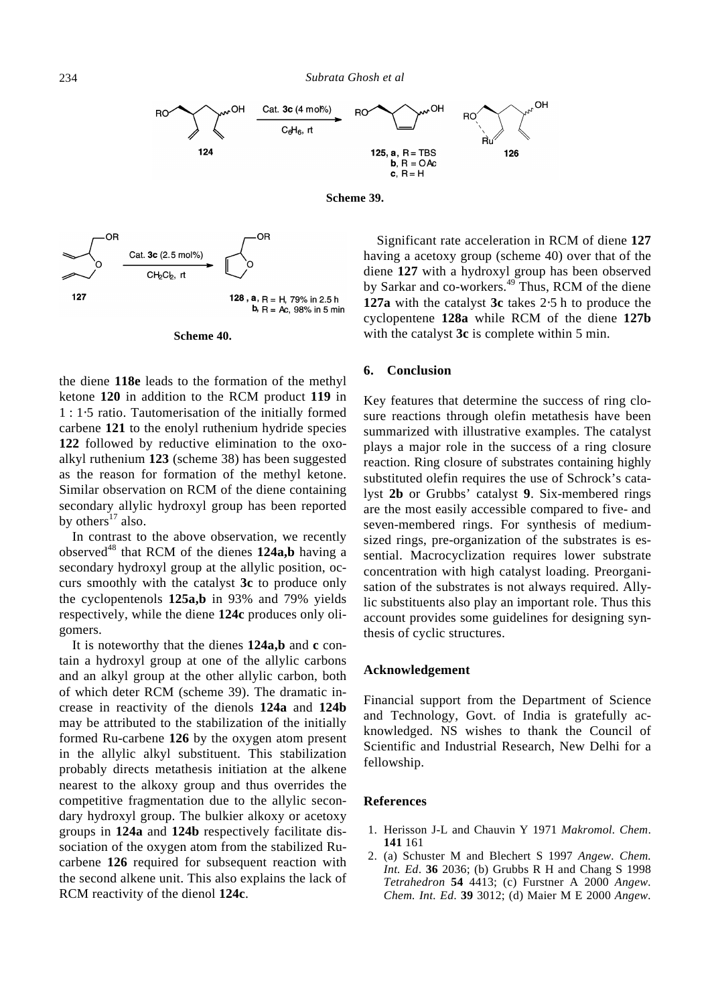

**Scheme 39.**



#### **Scheme 40.**

the diene **118e** leads to the formation of the methyl ketone **120** in addition to the RCM product **119** in 1 : 1⋅5 ratio. Tautomerisation of the initially formed carbene **121** to the enolyl ruthenium hydride species **122** followed by reductive elimination to the oxoalkyl ruthenium **123** (scheme 38) has been suggested as the reason for formation of the methyl ketone. Similar observation on RCM of the diene containing secondary allylic hydroxyl group has been reported by others $^{17}$  also.

In contrast to the above observation, we recently observed<sup>48</sup> that RCM of the dienes 124a,b having a secondary hydroxyl group at the allylic position, occurs smoothly with the catalyst **3c** to produce only the cyclopentenols **125a,b** in 93% and 79% yields respectively, while the diene **124c** produces only oligomers.

It is noteworthy that the dienes **124a,b** and **c** contain a hydroxyl group at one of the allylic carbons and an alkyl group at the other allylic carbon, both of which deter RCM (scheme 39). The dramatic increase in reactivity of the dienols **124a** and **124b** may be attributed to the stabilization of the initially formed Ru-carbene **126** by the oxygen atom present in the allylic alkyl substituent. This stabilization probably directs metathesis initiation at the alkene nearest to the alkoxy group and thus overrides the competitive fragmentation due to the allylic secondary hydroxyl group. The bulkier alkoxy or acetoxy groups in **124a** and **124b** respectively facilitate dissociation of the oxygen atom from the stabilized Rucarbene **126** required for subsequent reaction with the second alkene unit. This also explains the lack of RCM reactivity of the dienol **124c**.

Significant rate acceleration in RCM of diene **127** having a acetoxy group (scheme 40) over that of the diene **127** with a hydroxyl group has been observed by Sarkar and co-workers.<sup>49</sup> Thus, RCM of the diene **127a** with the catalyst **3c** takes 2⋅5 h to produce the cyclopentene **128a** while RCM of the diene **127b** with the catalyst **3c** is complete within 5 min.

#### **6. Conclusion**

Key features that determine the success of ring closure reactions through olefin metathesis have been summarized with illustrative examples. The catalyst plays a major role in the success of a ring closure reaction. Ring closure of substrates containing highly substituted olefin requires the use of Schrock's catalyst **2b** or Grubbs' catalyst **9**. Six-membered rings are the most easily accessible compared to five- and seven-membered rings. For synthesis of mediumsized rings, pre-organization of the substrates is essential. Macrocyclization requires lower substrate concentration with high catalyst loading. Preorganisation of the substrates is not always required. Allylic substituents also play an important role. Thus this account provides some guidelines for designing synthesis of cyclic structures.

## **Acknowledgement**

Financial support from the Department of Science and Technology, Govt. of India is gratefully acknowledged. NS wishes to thank the Council of Scientific and Industrial Research, New Delhi for a fellowship.

#### **References**

- 1. Herisson J-L and Chauvin Y 1971 *Makromol. Chem*. **141** 161
- 2. (a) Schuster M and Blechert S 1997 *Angew. Chem. Int. Ed*. **36** 2036; (b) Grubbs R H and Chang S 1998 *Tetrahedron* **54** 4413; (c) Furstner A 2000 *Angew. Chem. Int. Ed*. **39** 3012; (d) Maier M E 2000 *Angew.*